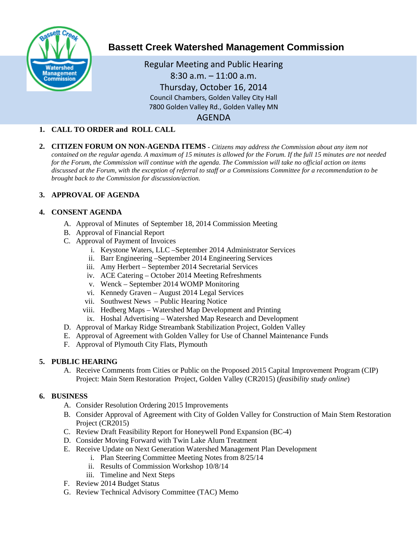

# **Bassett Creek Watershed Management Commission**

Regular Meeting and Public Hearing 8:30 a.m. – 11:00 a.m. Thursday, October 16, 2014 Council Chambers, Golden Valley City Hall 7800 Golden Valley Rd., Golden Valley MN AGENDA

# **1. CALL TO ORDER and ROLL CALL**

**2. CITIZEN FORUM ON NON-AGENDA ITEMS -** *Citizens may address the Commission about any item not contained on the regular agenda. A maximum of 15 minutes is allowed for the Forum. If the full 15 minutes are not needed for the Forum, the Commission will continue with the agenda. The Commission will take no official action on items discussed at the Forum, with the exception of referral to staff or a Commissions Committee for a recommendation to be brought back to the Commission for discussion/action.*

# **3. APPROVAL OF AGENDA**

## **4. CONSENT AGENDA**

- A. Approval of Minutes of September 18, 2014 Commission Meeting
- B. Approval of Financial Report
- C. Approval of Payment of Invoices
	- i. Keystone Waters, LLC –September 2014 Administrator Services
	- ii. Barr Engineering –September 2014 Engineering Services
	- iii. Amy Herbert September 2014 Secretarial Services
	- iv. ACE Catering October 2014 Meeting Refreshments
	- v. Wenck September 2014 WOMP Monitoring
	- vi. Kennedy Graven August 2014 Legal Services
	- vii. Southwest News Public Hearing Notice
	- viii. Hedberg Maps Watershed Map Development and Printing
	- ix. Hoshal Advertising Watershed Map Research and Development
- D. Approval of Markay Ridge Streambank Stabilization Project, Golden Valley
- E. Approval of Agreement with Golden Valley for Use of Channel Maintenance Funds
- F. Approval of Plymouth City Flats, Plymouth

# **5. PUBLIC HEARING**

A. Receive Comments from Cities or Public on the Proposed 2015 Capital Improvement Program (CIP) Project: Main Stem Restoration Project, Golden Valley (CR2015) (*feasibility study online*)

# **6. BUSINESS**

- A. Consider Resolution Ordering 2015 Improvements
- B. Consider Approval of Agreement with City of Golden Valley for Construction of Main Stem Restoration Project (CR2015)
- C. Review Draft Feasibility Report for Honeywell Pond Expansion (BC-4)
- D. Consider Moving Forward with Twin Lake Alum Treatment
- E. Receive Update on Next Generation Watershed Management Plan Development
	- i. Plan Steering Committee Meeting Notes from 8/25/14
		- ii. Results of Commission Workshop 10/8/14
	- iii. Timeline and Next Steps
- F. Review 2014 Budget Status
- G. Review Technical Advisory Committee (TAC) Memo